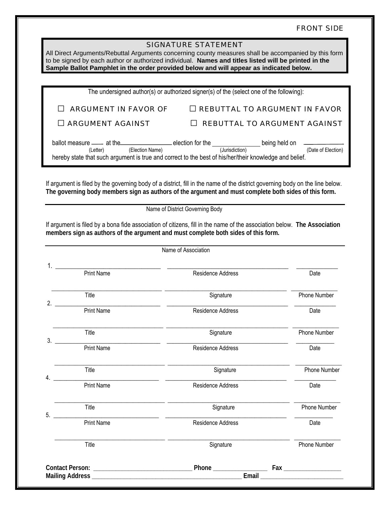## FRONT SIDE

|                | All Direct Arguments/Rebuttal Arguments concerning county measures shall be accompanied by this form<br>to be signed by each author or authorized individual. Names and titles listed will be printed in the<br>Sample Ballot Pamphlet in the order provided below and will appear as indicated below.                                                                                                                                                 | <b>SIGNATURE STATEMENT</b>                                                              |                                      |
|----------------|--------------------------------------------------------------------------------------------------------------------------------------------------------------------------------------------------------------------------------------------------------------------------------------------------------------------------------------------------------------------------------------------------------------------------------------------------------|-----------------------------------------------------------------------------------------|--------------------------------------|
|                |                                                                                                                                                                                                                                                                                                                                                                                                                                                        | The undersigned author(s) or authorized signer(s) of the (select one of the following): |                                      |
|                |                                                                                                                                                                                                                                                                                                                                                                                                                                                        |                                                                                         |                                      |
|                | <b>ARGUMENT IN FAVOR OF</b>                                                                                                                                                                                                                                                                                                                                                                                                                            |                                                                                         | <b>REBUTTAL TO ARGUMENT IN FAVOR</b> |
|                | <b>ARGUMENT AGAINST</b>                                                                                                                                                                                                                                                                                                                                                                                                                                |                                                                                         | <b>REBUTTAL TO ARGUMENT AGAINST</b>  |
|                | ballot measure — at the election for the ballot measure — at the election Name) being held on<br>(Election Name)                                                                                                                                                                                                                                                                                                                                       |                                                                                         | (Date of Election)                   |
|                | hereby state that such argument is true and correct to the best of his/her/their knowledge and belief.                                                                                                                                                                                                                                                                                                                                                 |                                                                                         |                                      |
|                | If argument is filed by the governing body of a district, fill in the name of the district governing body on the line below.<br>The governing body members sign as authors of the argument and must complete both sides of this form.<br>If argument is filed by a bona fide association of citizens, fill in the name of the association below. The Association<br>members sign as authors of the argument and must complete both sides of this form. | Name of District Governing Body                                                         |                                      |
|                |                                                                                                                                                                                                                                                                                                                                                                                                                                                        | Name of Association                                                                     |                                      |
|                |                                                                                                                                                                                                                                                                                                                                                                                                                                                        |                                                                                         |                                      |
|                | <b>Print Name</b>                                                                                                                                                                                                                                                                                                                                                                                                                                      | Residence Address                                                                       | Date                                 |
| $\mathfrak{D}$ | Title                                                                                                                                                                                                                                                                                                                                                                                                                                                  | Signature                                                                               | <b>Phone Number</b>                  |
|                | <b>Print Name</b>                                                                                                                                                                                                                                                                                                                                                                                                                                      | Residence Address                                                                       | Date                                 |
| 3.             | Title                                                                                                                                                                                                                                                                                                                                                                                                                                                  | Signature                                                                               | Phone Number                         |
|                | Print Name                                                                                                                                                                                                                                                                                                                                                                                                                                             | Residence Address                                                                       | Date                                 |
| 4.             | Title                                                                                                                                                                                                                                                                                                                                                                                                                                                  | Signature                                                                               | Phone Number                         |
|                | Print Name                                                                                                                                                                                                                                                                                                                                                                                                                                             | Residence Address                                                                       | Date                                 |
| 5.             | Title                                                                                                                                                                                                                                                                                                                                                                                                                                                  | Signature                                                                               | Phone Number                         |
|                | <b>Print Name</b>                                                                                                                                                                                                                                                                                                                                                                                                                                      | Residence Address                                                                       | Date                                 |
|                | Title                                                                                                                                                                                                                                                                                                                                                                                                                                                  | Signature                                                                               | Phone Number                         |
|                |                                                                                                                                                                                                                                                                                                                                                                                                                                                        |                                                                                         |                                      |
|                |                                                                                                                                                                                                                                                                                                                                                                                                                                                        |                                                                                         |                                      |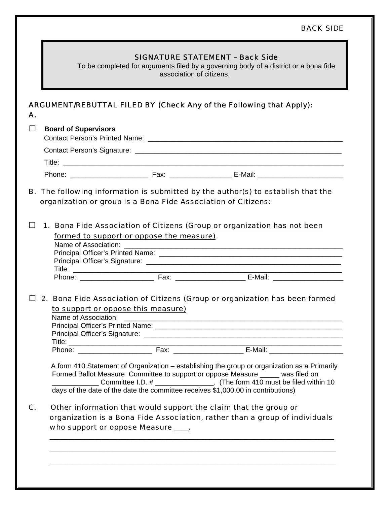## BACK SIDE

|                                             |                                                                                  | <b>SIGNATURE STATEMENT - Back Side</b><br>To be completed for arguments filed by a governing body of a district or a bona fide<br>association of citizens.              |
|---------------------------------------------|----------------------------------------------------------------------------------|-------------------------------------------------------------------------------------------------------------------------------------------------------------------------|
| А.                                          |                                                                                  | <b>ARGUMENT/REBUTTAL FILED BY (Check Any of the Following that Apply):</b>                                                                                              |
| $\mathsf{L}$<br><b>Board of Supervisors</b> |                                                                                  |                                                                                                                                                                         |
|                                             |                                                                                  |                                                                                                                                                                         |
|                                             |                                                                                  |                                                                                                                                                                         |
|                                             |                                                                                  |                                                                                                                                                                         |
|                                             | organization or group is a Bona Fide Association of Citizens:                    |                                                                                                                                                                         |
|                                             |                                                                                  | 1. Bona Fide Association of Citizens (Group or organization has not been                                                                                                |
|                                             | formed to support or oppose the measure)<br>Name of Association:                 |                                                                                                                                                                         |
|                                             |                                                                                  |                                                                                                                                                                         |
|                                             |                                                                                  |                                                                                                                                                                         |
|                                             |                                                                                  |                                                                                                                                                                         |
|                                             |                                                                                  |                                                                                                                                                                         |
|                                             |                                                                                  | 2. Bona Fide Association of Citizens (Group or organization has been formed                                                                                             |
|                                             |                                                                                  |                                                                                                                                                                         |
|                                             |                                                                                  |                                                                                                                                                                         |
|                                             | to support or oppose this measure)                                               |                                                                                                                                                                         |
| Name of Association:                        |                                                                                  |                                                                                                                                                                         |
|                                             |                                                                                  |                                                                                                                                                                         |
|                                             |                                                                                  |                                                                                                                                                                         |
|                                             |                                                                                  |                                                                                                                                                                         |
|                                             | days of the date of the date the committee receives \$1,000.00 in contributions) | Formed Ballot Measure Committee to support or oppose Measure ____ was filed on<br>__________ Committee I.D. # __________________. (The form 410 must be filed within 10 |
|                                             |                                                                                  |                                                                                                                                                                         |
| C.                                          |                                                                                  | Other information that would support the claim that the group or                                                                                                        |
|                                             |                                                                                  | organization is a Bona Fide Association, rather than a group of individuals                                                                                             |
|                                             | who support or oppose Measure ___.                                               | A form 410 Statement of Organization – establishing the group or organization as a Primarily                                                                            |
|                                             |                                                                                  |                                                                                                                                                                         |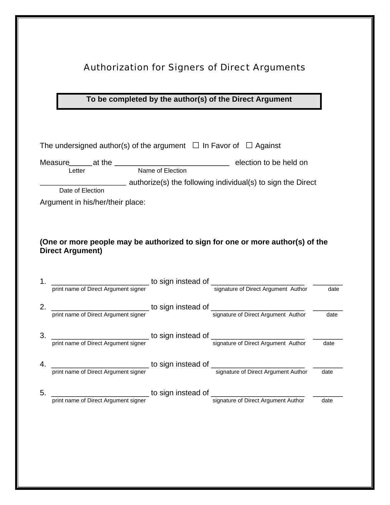## Authorization for Signers of Direct Arguments

## **To be completed by the author(s) of the Direct Argument**

|    | The undersigned author(s) of the argument $\Box$ In Favor of $\Box$ Against |                                                                                                                                                                     |      |
|----|-----------------------------------------------------------------------------|---------------------------------------------------------------------------------------------------------------------------------------------------------------------|------|
|    |                                                                             |                                                                                                                                                                     |      |
|    |                                                                             |                                                                                                                                                                     |      |
|    |                                                                             | authorize(s) the following individual(s) to sign the Direct                                                                                                         |      |
|    | Date of Election                                                            |                                                                                                                                                                     |      |
|    | Argument in his/her/their place:                                            |                                                                                                                                                                     |      |
|    | <b>Direct Argument)</b>                                                     | (One or more people may be authorized to sign for one or more author(s) of the                                                                                      |      |
|    |                                                                             | 1. print name of Direct Argument signer<br>print name of Direct Argument signer<br>of Direct Argument Author containers and the signature of Direct Argument Author | date |
|    |                                                                             |                                                                                                                                                                     |      |
|    |                                                                             | 2. print name of Direct Argument signer<br>print name of Direct Argument signer<br>and Signature of Direct Argument Author                                          | date |
|    |                                                                             |                                                                                                                                                                     |      |
|    |                                                                             |                                                                                                                                                                     |      |
|    |                                                                             | 3. print name of Direct Argument signer<br>to sign instead of signature of Direct Argument Author<br>signature of Direct Argument Author                            | date |
|    |                                                                             |                                                                                                                                                                     |      |
|    |                                                                             | 4. The print name of Direct Argument signer<br>The Signal instead of The Signature of Direct Argument Author<br>signature of Direct Argument Author                 | date |
| 5. |                                                                             |                                                                                                                                                                     |      |
|    |                                                                             | print name of Direct Argument signer<br>print name of Direct Argument signer<br>signature of Direct Argument Author                                                 | date |